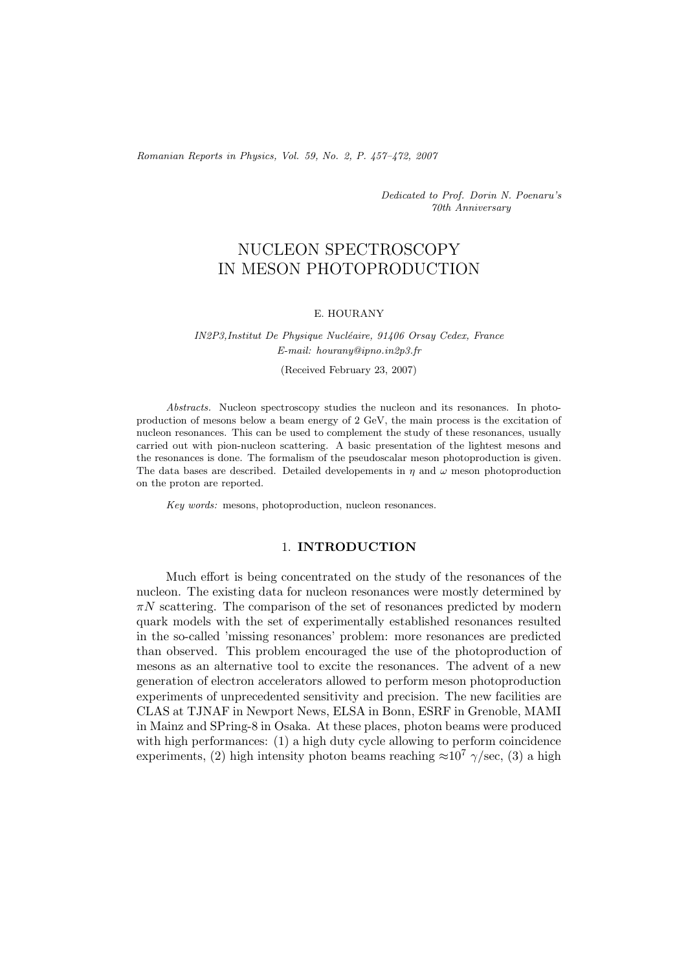*Romanian Reports in Physics, Vol. 59, No. 2, P. 457–472, 2007*

*Dedicated to Prof. Dorin N. Poenaru's 70th Anniversary*

# NUCLEON SPECTROSCOPY IN MESON PHOTOPRODUCTION

#### E. HOURANY

# *IN2P3,Institut De Physique Nucl´eaire, 91406 Orsay Cedex, France E-mail: hourany@ipno.in2p3.fr* (Received February 23, 2007)

*Abstracts.* Nucleon spectroscopy studies the nucleon and its resonances. In photoproduction of mesons below a beam energy of 2 GeV, the main process is the excitation of nucleon resonances. This can be used to complement the study of these resonances, usually carried out with pion-nucleon scattering. A basic presentation of the lightest mesons and the resonances is done. The formalism of the pseudoscalar meson photoproduction is given. The data bases are described. Detailed developements in  $\eta$  and  $\omega$  meson photoproduction on the proton are reported.

*Key words:* mesons, photoproduction, nucleon resonances.

#### 1. **INTRODUCTION**

Much effort is being concentrated on the study of the resonances of the nucleon. The existing data for nucleon resonances were mostly determined by  $\pi N$  scattering. The comparison of the set of resonances predicted by modern quark models with the set of experimentally established resonances resulted in the so-called 'missing resonances' problem: more resonances are predicted than observed. This problem encouraged the use of the photoproduction of mesons as an alternative tool to excite the resonances. The advent of a new generation of electron accelerators allowed to perform meson photoproduction experiments of unprecedented sensitivity and precision. The new facilities are CLAS at TJNAF in Newport News, ELSA in Bonn, ESRF in Grenoble, MAMI in Mainz and SPring-8 in Osaka. At these places, photon beams were produced with high performances: (1) a high duty cycle allowing to perform coincidence experiments, (2) high intensity photon beams reaching  $\approx 10^7$   $\gamma/\text{sec}$ , (3) a high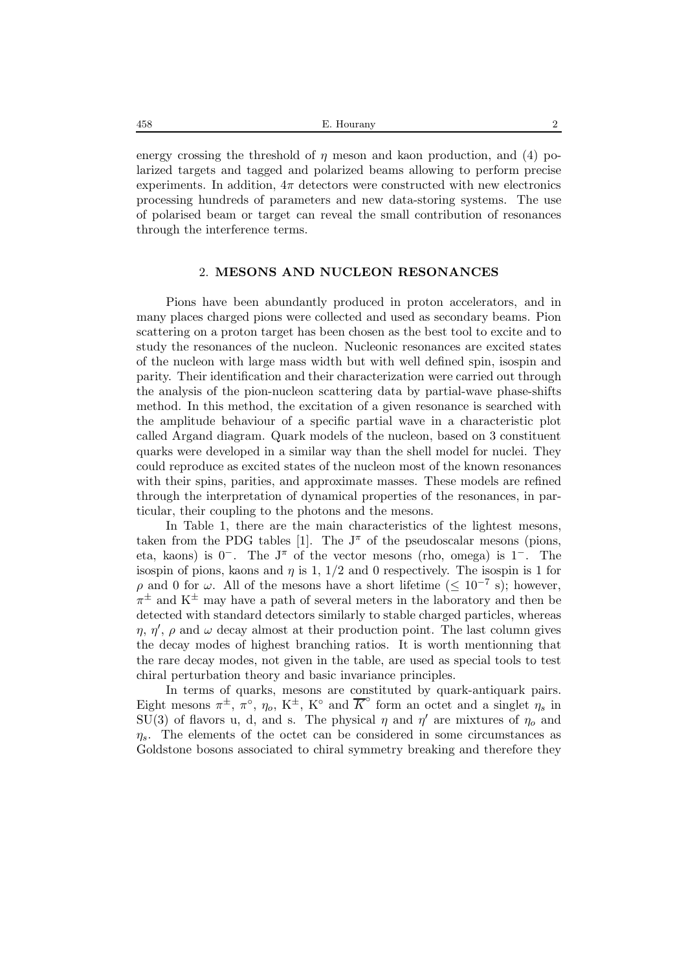| E. Hourany |  |
|------------|--|
|            |  |

energy crossing the threshold of  $\eta$  meson and kaon production, and (4) polarized targets and tagged and polarized beams allowing to perform precise experiments. In addition,  $4\pi$  detectors were constructed with new electronics processing hundreds of parameters and new data-storing systems. The use of polarised beam or target can reveal the small contribution of resonances through the interference terms.

### 2. **MESONS AND NUCLEON RESONANCES**

Pions have been abundantly produced in proton accelerators, and in many places charged pions were collected and used as secondary beams. Pion scattering on a proton target has been chosen as the best tool to excite and to study the resonances of the nucleon. Nucleonic resonances are excited states of the nucleon with large mass width but with well defined spin, isospin and parity. Their identification and their characterization were carried out through the analysis of the pion-nucleon scattering data by partial-wave phase-shifts method. In this method, the excitation of a given resonance is searched with the amplitude behaviour of a specific partial wave in a characteristic plot called Argand diagram. Quark models of the nucleon, based on 3 constituent quarks were developed in a similar way than the shell model for nuclei. They could reproduce as excited states of the nucleon most of the known resonances with their spins, parities, and approximate masses. These models are refined through the interpretation of dynamical properties of the resonances, in particular, their coupling to the photons and the mesons.

In Table 1, there are the main characteristics of the lightest mesons, taken from the PDG tables [1]. The  $J^{\pi}$  of the pseudoscalar mesons (pions, eta, kaons) is 0−. The J<sup>π</sup> of the vector mesons (rho, omega) is 1−. The isospin of pions, kaons and  $\eta$  is 1,  $1/2$  and 0 respectively. The isospin is 1 for  $ρ$  and 0 for ω. All of the mesons have a short lifetime ( $≤ 10<sup>-7</sup>$  s); however,  $\pi^{\pm}$  and K<sup> $\pm$ </sup> may have a path of several meters in the laboratory and then be detected with standard detectors similarly to stable charged particles, whereas  $\eta$ ,  $\eta'$ ,  $\rho$  and  $\omega$  decay almost at their production point. The last column gives the decay modes of highest branching ratios. It is worth mentionning that the rare decay modes, not given in the table, are used as special tools to test chiral perturbation theory and basic invariance principles.

In terms of quarks, mesons are constituted by quark-antiquark pairs. Eight mesons  $\pi^{\pm}$ ,  $\pi^{\circ}$ ,  $\eta_o$ ,  $K^{\pm}$ ,  $K^{\circ}$  and  $\overline{K}^{\circ}$  form an octet and a singlet  $\eta_s$  in SU(3) of flavors u, d, and s. The physical  $\eta$  and  $\eta'$  are mixtures of  $\eta_0$  and  $\eta_s$ . The elements of the octet can be considered in some circumstances as Goldstone bosons associated to chiral symmetry breaking and therefore they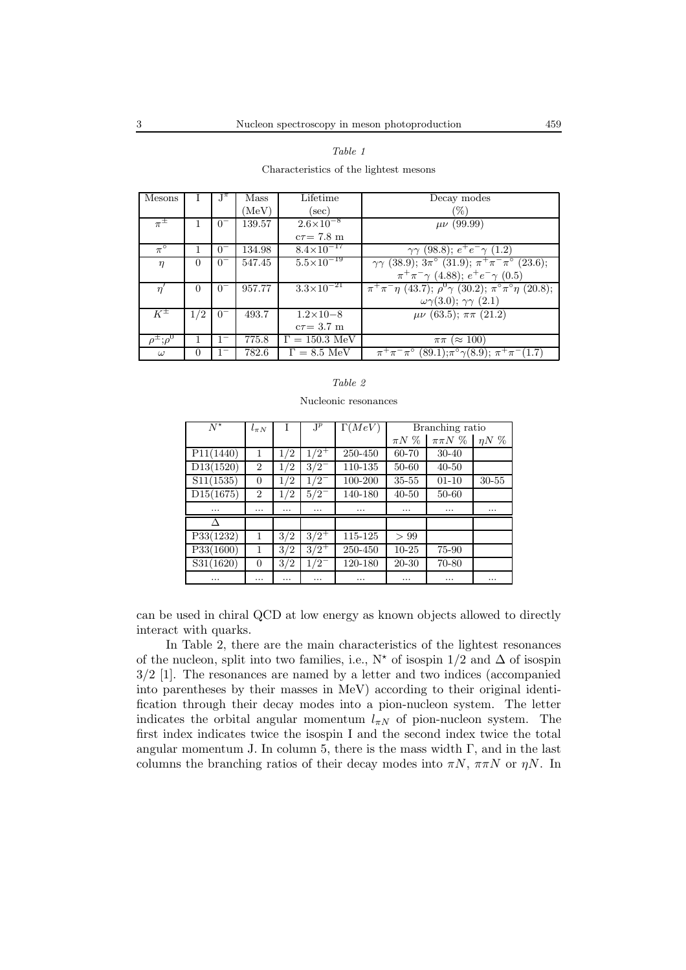| Mesons        |          | $J^{\pi}$             | Mass   | Lifetime                   | Decay modes                                                                                |
|---------------|----------|-----------------------|--------|----------------------------|--------------------------------------------------------------------------------------------|
|               |          |                       | (MeV)  | $(\sec)$                   | $(\%)$                                                                                     |
| $\pi^{\pm}$   |          | 0                     | 139.57 | $2.6\times10^{-8}$         | $\mu\nu$ (99.99)                                                                           |
|               |          |                       |        | $c\tau = 7.8$ m            |                                                                                            |
| $\pi^{\circ}$ | 1        | $0^{-}$               | 134.98 | $8.4\times10^{-17}$        | $\gamma\gamma$ (98.8); $e^+e^-\gamma$ (1.2)                                                |
| $\eta$        | $\Omega$ | $\theta$ <sup>-</sup> | 547.45 | $5.5 \times 10^{-19}$      | $\gamma\gamma$ (38.9); $3\pi$ ° (31.9); $\pi^{+}\pi^{-}\pi$ ° (23.6);                      |
|               |          |                       |        |                            | $\pi^+\pi^-\gamma$ (4.88); $e^+e^-\gamma$ (0.5)                                            |
| $\eta'$       | $\Omega$ | $0^{-}$               | 957.77 | $3.3 \times 10^{-21}$      | $\pi^{+}\pi^{-}\eta$ (43.7); $\rho^{0}\gamma$ (30.2); $\pi^{\circ}\pi^{\circ}\eta$ (20.8); |
|               |          |                       |        |                            | $\omega\gamma(3.0); \gamma\gamma(2.1)$                                                     |
| $K^{\pm}$     | 1/2      | $0^{-}$               | 493.7  | $1.2 \times 10 - 8$        | $\mu\nu$ (63.5); $\pi\pi$ (21.2)                                                           |
|               |          |                       |        | $c\tau = 3.7$ m            |                                                                                            |
| $;\rho^0$     | 1        |                       | 775.8  | $\Gamma = 150.3$ MeV       | $(\approx 100)$<br>$\pi\pi$                                                                |
| $\omega$      | $\Omega$ |                       | 782.6  | $\Gamma = 8.5 \text{ MeV}$ | $\pi^+\pi^-\pi^{\circ}$ (89.1); $\pi^{\circ}\gamma(8.9)$ ; $\pi^+\pi^-(1.7)$               |

#### *Table 1*

Characteristics of the lightest mesons

#### *Table 2*

Nucleonic resonances

| $N^{\star}$            | $l_{\pi N}$    | T        | $J^p$     | $\Gamma(MeV)$ | Branching ratio |              |              |
|------------------------|----------------|----------|-----------|---------------|-----------------|--------------|--------------|
|                        |                |          |           |               | $\pi N$ %       | $\pi\pi N$ % | $\eta N \n%$ |
| P11(1440)              | 1              | 1/2      | $1/2^+$   | 250-450       | 60-70           | $30 - 40$    |              |
| D13(1520)              | $\overline{2}$ | 1/2      | $3/2^{-}$ | 110-135       | 50-60           | $40 - 50$    |              |
| S11(1535)              | $\theta$       | 1/2      | $1/2^{-}$ | 100-200       | $35 - 55$       | $01 - 10$    | $30 - 55$    |
| D15(1675)              | $\overline{2}$ | 1/2      | $5/2^{-}$ | 140-180       | $40 - 50$       | $50 - 60$    |              |
| $\cdots$               |                |          | $\cdots$  |               | $\cdots$        |              |              |
| Δ                      |                |          |           |               |                 |              |              |
| P33(1232)              | 1              | 3/2      | $3/2^+$   | 115-125       | > 99            |              |              |
| P33(1600)              | 1              | 3/2      | $3/2^+$   | 250-450       | $10 - 25$       | 75-90        |              |
| $\overline{S31(1620)}$ | $\theta$       | 3/2      | $1/2^{-}$ | 120-180       | 20-30           | 70-80        |              |
|                        | $\cdots$       | $\cdots$ |           |               | $\cdots$        |              |              |

can be used in chiral QCD at low energy as known objects allowed to directly interact with quarks.

In Table 2, there are the main characteristics of the lightest resonances of the nucleon, split into two families, i.e.,  $N^*$  of isospin  $1/2$  and  $\Delta$  of isospin 3/2 [1]. The resonances are named by a letter and two indices (accompanied into parentheses by their masses in MeV) according to their original identification through their decay modes into a pion-nucleon system. The letter indicates the orbital angular momentum  $l_{\pi N}$  of pion-nucleon system. The first index indicates twice the isospin I and the second index twice the total angular momentum J. In column 5, there is the mass width  $\Gamma$ , and in the last columns the branching ratios of their decay modes into  $\pi N$ ,  $\pi \pi N$  or  $\eta N$ . In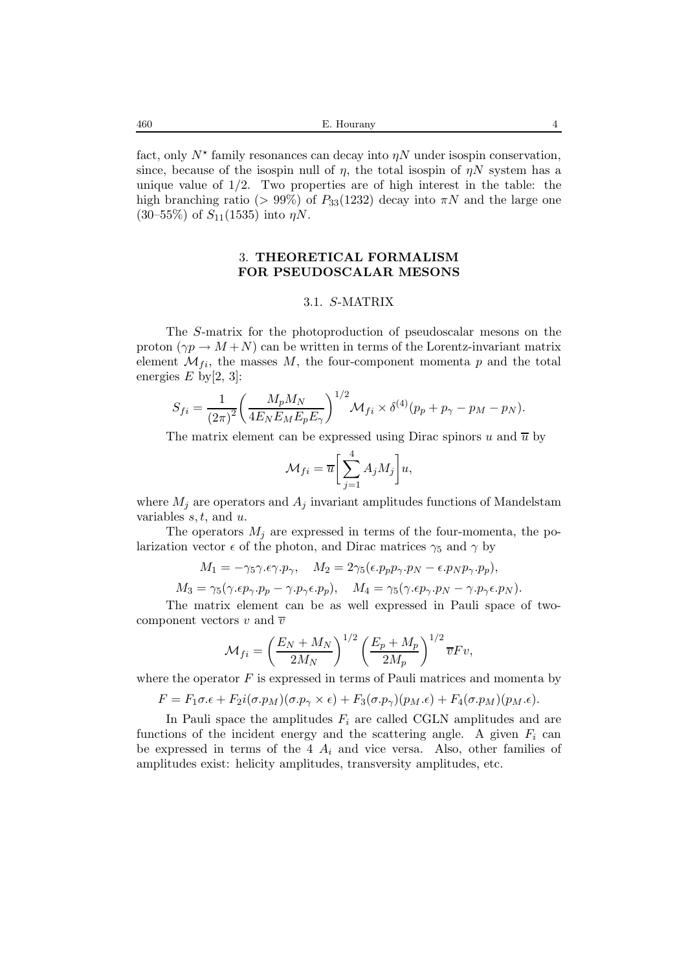fact, only  $N^*$  family resonances can decay into  $\eta N$  under isospin conservation, since, because of the isospin null of  $\eta$ , the total isospin of  $\eta N$  system has a unique value of  $1/2$ . Two properties are of high interest in the table: the high branching ratio (> 99%) of  $P_{33}(1232)$  decay into  $\pi N$  and the large one  $(30-55\%)$  of  $S_{11}(1535)$  into  $\eta N$ .

# 3. **THEORETICAL FORMALISM FOR PSEUDOSCALAR MESONS**

#### 3.1. S-MATRIX

The S-matrix for the photoproduction of pseudoscalar mesons on the proton  $(\gamma p \to M + N)$  can be written in terms of the Lorentz-invariant matrix element  $\mathcal{M}_{fi}$ , the masses  $M$ , the four-component momenta p and the total energies  $E$  by [2, 3]:

$$
S_{fi} = \frac{1}{(2\pi)^2} \left( \frac{M_p M_N}{4E_N E_M E_p E_\gamma} \right)^{1/2} \mathcal{M}_{fi} \times \delta^{(4)}(p_p + p_\gamma - p_M - p_N).
$$

The matrix element can be expressed using Dirac spinors u and  $\overline{u}$  by

$$
\mathcal{M}_{fi} = \overline{u} \bigg[ \sum_{j=1}^{4} A_j M_j \bigg] u,
$$

where  $M_j$  are operators and  $A_j$  invariant amplitudes functions of Mandelstam variables  $s, t$ , and  $u$ .

The operators  $M_i$  are expressed in terms of the four-momenta, the polarization vector  $\epsilon$  of the photon, and Dirac matrices  $\gamma_5$  and  $\gamma$  by

$$
M_1 = -\gamma_5 \gamma . \epsilon \gamma . p_\gamma, \quad M_2 = 2\gamma_5 (\epsilon . p_p p_\gamma . p_N - \epsilon . p_N p_\gamma . p_p),
$$

 $M_3 = \gamma_5(\gamma.\epsilon p_\gamma.p_p - \gamma.p_\gamma\epsilon.p_p), \quad M_4 = \gamma_5(\gamma.\epsilon p_\gamma.p_N - \gamma.p_\gamma\epsilon.p_N).$ 

The matrix element can be as well expressed in Pauli space of twocomponent vectors v and  $\overline{v}$ 

$$
\mathcal{M}_{fi} = \left(\frac{E_N + M_N}{2M_N}\right)^{1/2} \left(\frac{E_p + M_p}{2M_p}\right)^{1/2} \overline{v}Fv,
$$

where the operator  $F$  is expressed in terms of Pauli matrices and momenta by

 $F = F_1 \sigma \cdot \epsilon + F_2 i(\sigma p_M)(\sigma p_\gamma \times \epsilon) + F_3(\sigma p_\gamma)(p_M \cdot \epsilon) + F_4(\sigma p_M)(p_M \cdot \epsilon).$ 

In Pauli space the amplitudes  $F_i$  are called CGLN amplitudes and are functions of the incident energy and the scattering angle. A given  $F_i$  can be expressed in terms of the 4  $A_i$  and vice versa. Also, other families of amplitudes exist: helicity amplitudes, transversity amplitudes, etc.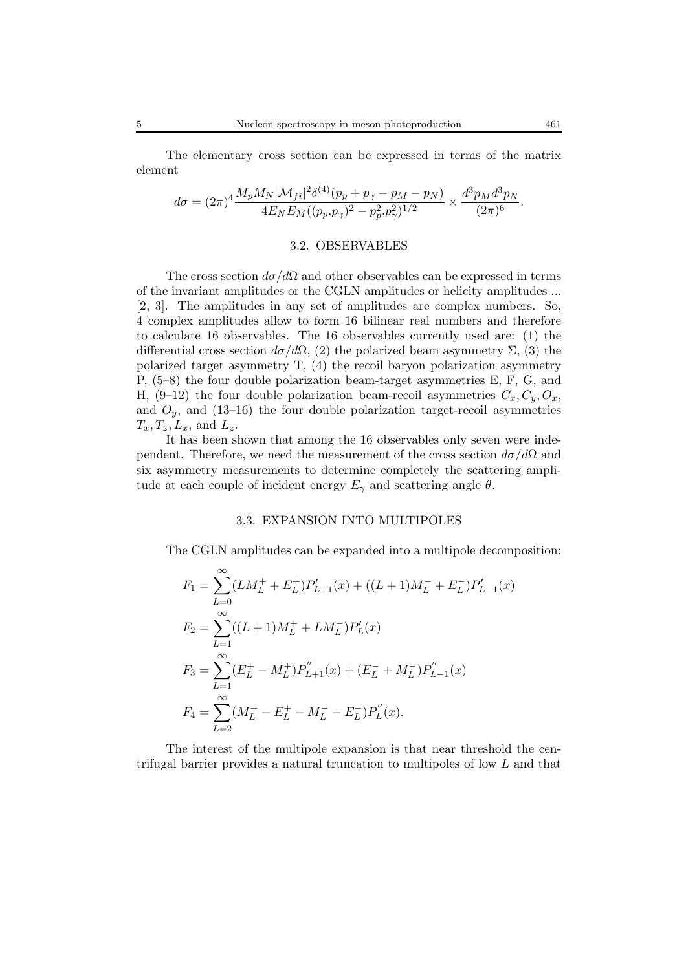The elementary cross section can be expressed in terms of the matrix element

$$
d\sigma = (2\pi)^4 \frac{M_p M_N |\mathcal{M}_{fi}|^2 \delta^{(4)}(p_p + p_\gamma - p_M - p_N)}{4E_N E_M ((p_p \cdot p_\gamma)^2 - p_p^2 \cdot p_\gamma^2)^{1/2}} \times \frac{d^3 p_M d^3 p_N}{(2\pi)^6}.
$$

#### 3.2. OBSERVABLES

The cross section  $d\sigma/d\Omega$  and other observables can be expressed in terms of the invariant amplitudes or the CGLN amplitudes or helicity amplitudes ... [2, 3]. The amplitudes in any set of amplitudes are complex numbers. So, 4 complex amplitudes allow to form 16 bilinear real numbers and therefore to calculate 16 observables. The 16 observables currently used are: (1) the differential cross section  $d\sigma/d\Omega$ , (2) the polarized beam asymmetry  $\Sigma$ , (3) the polarized target asymmetry T, (4) the recoil baryon polarization asymmetry P, (5–8) the four double polarization beam-target asymmetries E, F, G, and H,  $(9-12)$  the four double polarization beam-recoil asymmetries  $C_x, C_y, O_x$ , and  $O_y$ , and (13–16) the four double polarization target-recoil asymmetries  $T_x, T_z, L_x$ , and  $L_z$ .

It has been shown that among the 16 observables only seven were independent. Therefore, we need the measurement of the cross section  $d\sigma/d\Omega$  and six asymmetry measurements to determine completely the scattering amplitude at each couple of incident energy  $E_{\gamma}$  and scattering angle  $\theta$ .

#### 3.3. EXPANSION INTO MULTIPOLES

The CGLN amplitudes can be expanded into a multipole decomposition:

$$
F_1 = \sum_{L=0}^{\infty} (LM_L^+ + E_L^+) P'_{L+1}(x) + ((L+1)M_L^- + E_L^-) P'_{L-1}(x)
$$
  
\n
$$
F_2 = \sum_{L=1}^{\infty} ((L+1)M_L^+ + LM_L^-) P'_L(x)
$$
  
\n
$$
F_3 = \sum_{L=1}^{\infty} (E_L^+ - M_L^+) P''_{L+1}(x) + (E_L^- + M_L^-) P''_{L-1}(x)
$$
  
\n
$$
F_4 = \sum_{L=2}^{\infty} (M_L^+ - E_L^+ - M_L^- - E_L^-) P_L''(x).
$$

The interest of the multipole expansion is that near threshold the centrifugal barrier provides a natural truncation to multipoles of low L and that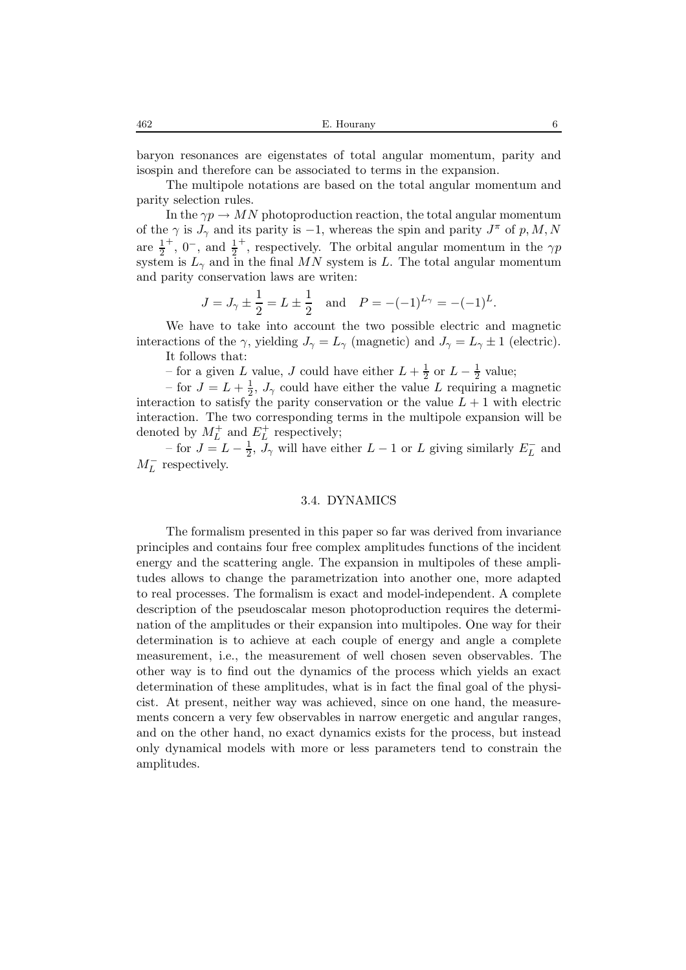baryon resonances are eigenstates of total angular momentum, parity and isospin and therefore can be associated to terms in the expansion.

The multipole notations are based on the total angular momentum and parity selection rules.

In the  $\gamma p \to MN$  photoproduction reaction, the total angular momentum of the  $\gamma$  is  $J_{\gamma}$  and its parity is -1, whereas the spin and parity  $J^{\pi}$  of p, M, N are  $\frac{1}{2}^+$ ,  $0^-$ , and  $\frac{1}{2}^+$ , respectively. The orbital angular momentum in the  $\gamma p$ system is  $L_{\gamma}$  and in the final MN system is L. The total angular momentum and parity conservation laws are writen:

$$
J = J_{\gamma} \pm \frac{1}{2} = L \pm \frac{1}{2}
$$
 and  $P = -(-1)^{L_{\gamma}} = -(-1)^{L}$ .

We have to take into account the two possible electric and magnetic interactions of the  $\gamma$ , yielding  $J_{\gamma} = L_{\gamma}$  (magnetic) and  $J_{\gamma} = L_{\gamma} \pm 1$  (electric). It follows that:

– for a given L value, J could have either  $L + \frac{1}{2}$  or  $L - \frac{1}{2}$  value;

– for  $J = L + \frac{1}{2}$ ,  $J_{\gamma}$  could have either the value L requiring a magnetic interaction to satisfy the parity conservation or the value  $L + 1$  with electric interaction. The two corresponding terms in the multipole expansion will be denoted by  $M_L^+$  and  $E_L^+$  respectively;

– for  $J = L - \frac{1}{2}$ ,  $\tilde{J}_{\gamma}$  will have either  $L - 1$  or L giving similarly  $E_L^-$  and  $M_L^-$  respectively.

## 3.4. DYNAMICS

The formalism presented in this paper so far was derived from invariance principles and contains four free complex amplitudes functions of the incident energy and the scattering angle. The expansion in multipoles of these amplitudes allows to change the parametrization into another one, more adapted to real processes. The formalism is exact and model-independent. A complete description of the pseudoscalar meson photoproduction requires the determination of the amplitudes or their expansion into multipoles. One way for their determination is to achieve at each couple of energy and angle a complete measurement, i.e., the measurement of well chosen seven observables. The other way is to find out the dynamics of the process which yields an exact determination of these amplitudes, what is in fact the final goal of the physicist. At present, neither way was achieved, since on one hand, the measurements concern a very few observables in narrow energetic and angular ranges, and on the other hand, no exact dynamics exists for the process, but instead only dynamical models with more or less parameters tend to constrain the amplitudes.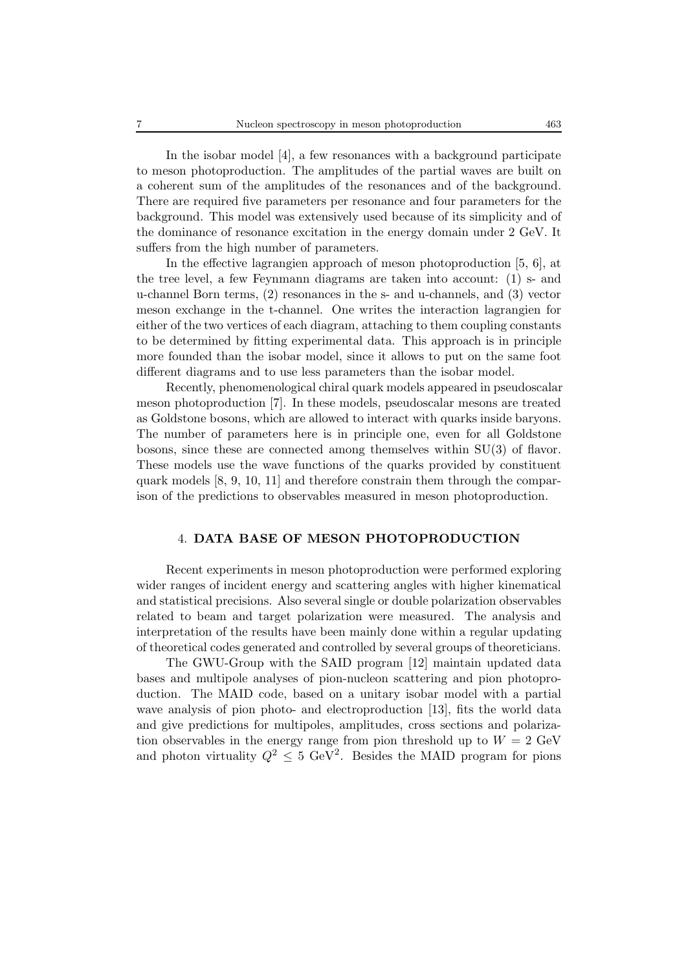In the isobar model [4], a few resonances with a background participate to meson photoproduction. The amplitudes of the partial waves are built on a coherent sum of the amplitudes of the resonances and of the background. There are required five parameters per resonance and four parameters for the background. This model was extensively used because of its simplicity and of the dominance of resonance excitation in the energy domain under 2 GeV. It suffers from the high number of parameters.

In the effective lagrangien approach of meson photoproduction [5, 6], at the tree level, a few Feynmann diagrams are taken into account: (1) s- and u-channel Born terms, (2) resonances in the s- and u-channels, and (3) vector meson exchange in the t-channel. One writes the interaction lagrangien for either of the two vertices of each diagram, attaching to them coupling constants to be determined by fitting experimental data. This approach is in principle more founded than the isobar model, since it allows to put on the same foot different diagrams and to use less parameters than the isobar model.

Recently, phenomenological chiral quark models appeared in pseudoscalar meson photoproduction [7]. In these models, pseudoscalar mesons are treated as Goldstone bosons, which are allowed to interact with quarks inside baryons. The number of parameters here is in principle one, even for all Goldstone bosons, since these are connected among themselves within SU(3) of flavor. These models use the wave functions of the quarks provided by constituent quark models [8, 9, 10, 11] and therefore constrain them through the comparison of the predictions to observables measured in meson photoproduction.

#### 4. **DATA BASE OF MESON PHOTOPRODUCTION**

Recent experiments in meson photoproduction were performed exploring wider ranges of incident energy and scattering angles with higher kinematical and statistical precisions. Also several single or double polarization observables related to beam and target polarization were measured. The analysis and interpretation of the results have been mainly done within a regular updating of theoretical codes generated and controlled by several groups of theoreticians.

The GWU-Group with the SAID program [12] maintain updated data bases and multipole analyses of pion-nucleon scattering and pion photoproduction. The MAID code, based on a unitary isobar model with a partial wave analysis of pion photo- and electroproduction [13], fits the world data and give predictions for multipoles, amplitudes, cross sections and polarization observables in the energy range from pion threshold up to  $W = 2 \text{ GeV}$ and photon virtuality  $Q^2 \leq 5 \text{ GeV}^2$ . Besides the MAID program for pions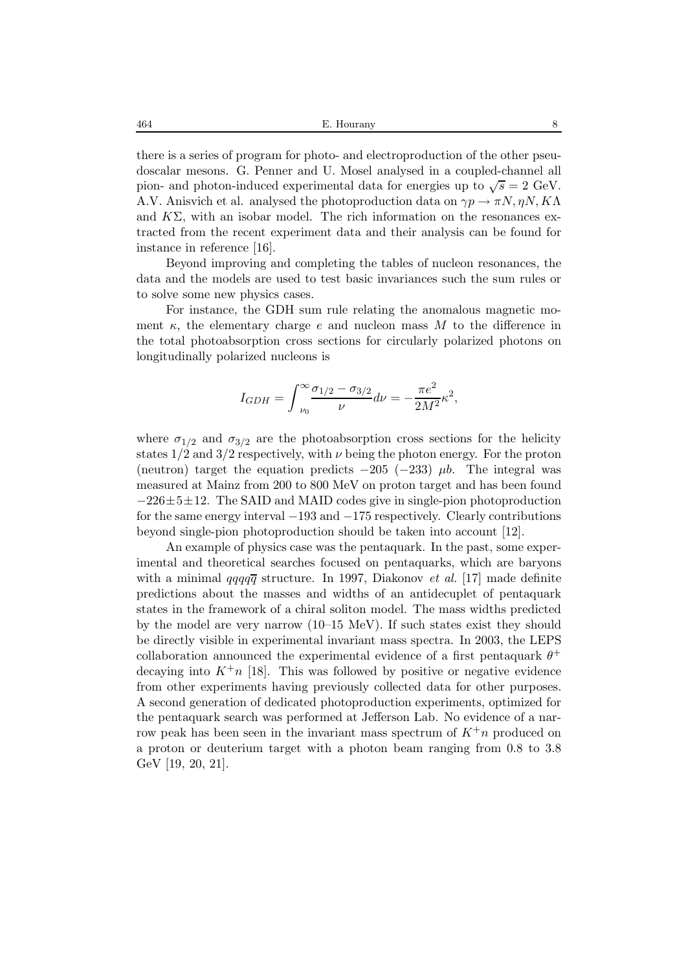464 E. Hourany 8

there is a series of program for photo- and electroproduction of the other pseudoscalar mesons. G. Penner and U. Mosel analysed in a coupled-channel all pion- and photon-induced experimental data for energies up to  $\sqrt{s} = 2$  GeV. A.V. Anisvich et al. analysed the photoproduction data on  $\gamma p \to \pi N$ ,  $\eta N$ ,  $K\Lambda$ and  $K\Sigma$ , with an isobar model. The rich information on the resonances extracted from the recent experiment data and their analysis can be found for instance in reference [16].

Beyond improving and completing the tables of nucleon resonances, the data and the models are used to test basic invariances such the sum rules or to solve some new physics cases.

For instance, the GDH sum rule relating the anomalous magnetic moment  $\kappa$ , the elementary charge e and nucleon mass M to the difference in the total photoabsorption cross sections for circularly polarized photons on longitudinally polarized nucleons is

$$
I_{GDH} = \int_{\nu_0}^{\infty} \frac{\sigma_{1/2} - \sigma_{3/2}}{\nu} d\nu = -\frac{\pi e^2}{2M^2} \kappa^2,
$$

where  $\sigma_{1/2}$  and  $\sigma_{3/2}$  are the photoabsorption cross sections for the helicity states  $1/2$  and  $3/2$  respectively, with  $\nu$  being the photon energy. For the proton (neutron) target the equation predicts  $-205$  ( $-233$ )  $\mu b$ . The integral was measured at Mainz from 200 to 800 MeV on proton target and has been found  $-226\pm 5\pm 12$ . The SAID and MAID codes give in single-pion photoproduction for the same energy interval −193 and −175 respectively. Clearly contributions beyond single-pion photoproduction should be taken into account [12].

An example of physics case was the pentaquark. In the past, some experimental and theoretical searches focused on pentaquarks, which are baryons with a minimal  $qqqq\overline{q}$  structure. In 1997, Diakonov *et al.* [17] made definite predictions about the masses and widths of an antidecuplet of pentaquark states in the framework of a chiral soliton model. The mass widths predicted by the model are very narrow (10–15 MeV). If such states exist they should be directly visible in experimental invariant mass spectra. In 2003, the LEPS collaboration announced the experimental evidence of a first pentaquark  $\theta^+$ decaying into  $K^+n$  [18]. This was followed by positive or negative evidence from other experiments having previously collected data for other purposes. A second generation of dedicated photoproduction experiments, optimized for the pentaquark search was performed at Jefferson Lab. No evidence of a narrow peak has been seen in the invariant mass spectrum of  $K^+n$  produced on a proton or deuterium target with a photon beam ranging from 0.8 to 3.8 GeV [19, 20, 21].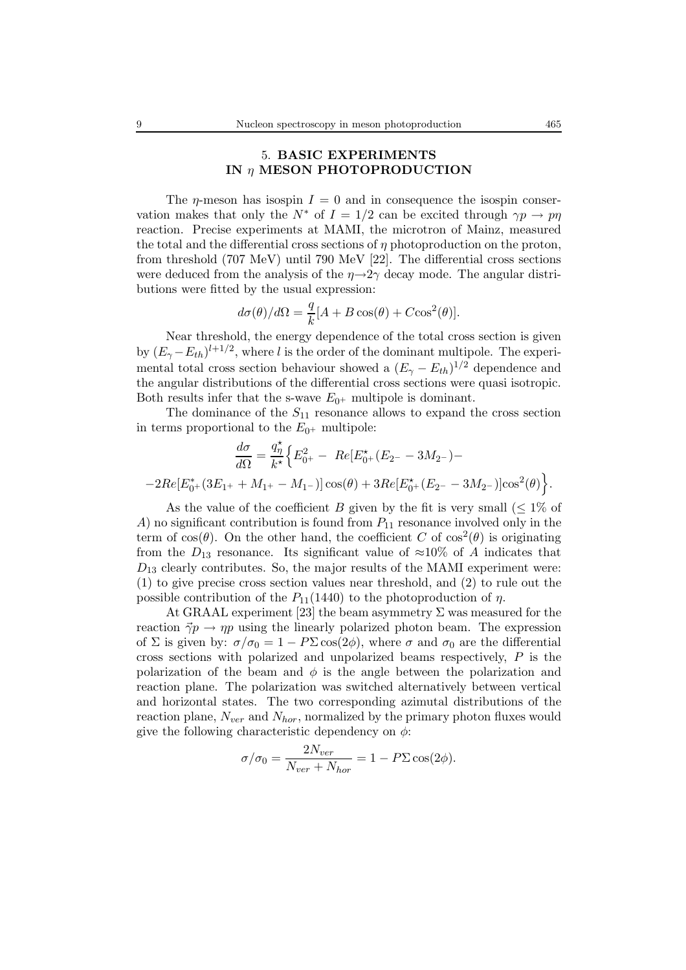# 5. **BASIC EXPERIMENTS IN** η **MESON PHOTOPRODUCTION**

The *n*-meson has isospin  $I = 0$  and in consequence the isospin conservation makes that only the  $N^*$  of  $I = 1/2$  can be excited through  $\gamma p \to p \eta$ reaction. Precise experiments at MAMI, the microtron of Mainz, measured the total and the differential cross sections of  $\eta$  photoproduction on the proton, from threshold (707 MeV) until 790 MeV [22]. The differential cross sections were deduced from the analysis of the  $\eta \rightarrow 2\gamma$  decay mode. The angular distributions were fitted by the usual expression:

$$
d\sigma(\theta)/d\Omega = \frac{q}{k}[A + B\cos(\theta) + C\cos^2(\theta)].
$$

Near threshold, the energy dependence of the total cross section is given by  $(E_{\gamma} - E_{th})^{l+1/2}$ , where l is the order of the dominant multipole. The experimental total cross section behaviour showed a  $(E_{\gamma} - E_{th})^{1/2}$  dependence and the angular distributions of the differential cross sections were quasi isotropic. Both results infer that the s-wave  $E_{0+}$  multipole is dominant.

The dominance of the  $S_{11}$  resonance allows to expand the cross section in terms proportional to the  $E_{0+}$  multipole:

$$
\frac{d\sigma}{d\Omega} = \frac{q_{\eta}^{\star}}{k^{\star}} \Big\{ E_{0^{+}}^{2} - Re[E_{0^{+}}^{\star}(E_{2^{-}} - 3M_{2^{-}}) --2Re[E_{0^{+}}^{\star}(3E_{1^{+}} + M_{1^{+}} - M_{1^{-}})]\cos(\theta) + 3Re[E_{0^{+}}^{\star}(E_{2^{-}} - 3M_{2^{-}})]\cos^{2}(\theta) \Big\}.
$$

As the value of the coefficient B given by the fit is very small  $(\leq 1\%$  of A) no significant contribution is found from  $P_{11}$  resonance involved only in the term of  $\cos(\theta)$ . On the other hand, the coefficient C of  $\cos^2(\theta)$  is originating from the  $D_{13}$  resonance. Its significant value of  $\approx 10\%$  of A indicates that  $D_{13}$  clearly contributes. So, the major results of the MAMI experiment were: (1) to give precise cross section values near threshold, and (2) to rule out the possible contribution of the  $P_{11}(1440)$  to the photoproduction of  $\eta$ .

At GRAAL experiment [23] the beam asymmetry  $\Sigma$  was measured for the reaction  $\vec{\gamma}p \rightarrow np$  using the linearly polarized photon beam. The expression of  $\Sigma$  is given by:  $\sigma/\sigma_0 = 1 - P\Sigma \cos(2\phi)$ , where  $\sigma$  and  $\sigma_0$  are the differential cross sections with polarized and unpolarized beams respectively, P is the polarization of the beam and  $\phi$  is the angle between the polarization and reaction plane. The polarization was switched alternatively between vertical and horizontal states. The two corresponding azimutal distributions of the reaction plane,  $N_{ver}$  and  $N_{hor}$ , normalized by the primary photon fluxes would give the following characteristic dependency on  $\phi$ :

$$
\sigma/\sigma_0 = \frac{2N_{ver}}{N_{ver} + N_{hor}} = 1 - P\Sigma \cos(2\phi).
$$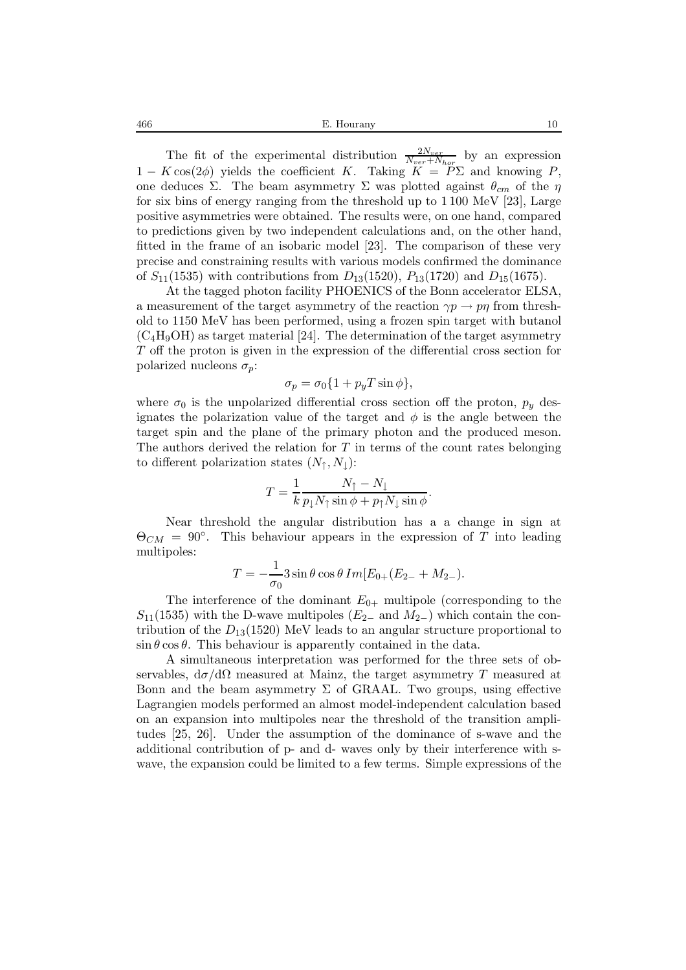466 E. Hourany 10

The fit of the experimental distribution  $\frac{2N_{ver}}{N_{ver}+N_{hor}}$  by an expression  $1 - K \cos(2\phi)$  yields the coefficient K. Taking  $K = P\Sigma$  and knowing P, one deduces Σ. The beam asymmetry Σ was plotted against  $θ<sub>cm</sub>$  of the η for six bins of energy ranging from the threshold up to 1 100 MeV [23], Large positive asymmetries were obtained. The results were, on one hand, compared to predictions given by two independent calculations and, on the other hand, fitted in the frame of an isobaric model [23]. The comparison of these very precise and constraining results with various models confirmed the dominance of  $S_{11}(1535)$  with contributions from  $D_{13}(1520)$ ,  $P_{13}(1720)$  and  $D_{15}(1675)$ .

At the tagged photon facility PHOENICS of the Bonn accelerator ELSA, a measurement of the target asymmetry of the reaction  $\gamma p \to p \eta$  from threshold to 1150 MeV has been performed, using a frozen spin target with butanol  $(C_4H_9OH)$  as target material [24]. The determination of the target asymmetry T off the proton is given in the expression of the differential cross section for polarized nucleons  $\sigma_p$ :

$$
\sigma_p = \sigma_0 \{ 1 + p_y T \sin \phi \},\
$$

where  $\sigma_0$  is the unpolarized differential cross section off the proton,  $p_y$  designates the polarization value of the target and  $\phi$  is the angle between the target spin and the plane of the primary photon and the produced meson. The authors derived the relation for  $T$  in terms of the count rates belonging to different polarization states  $(N_1, N_1)$ :

$$
T = \frac{1}{k} \frac{N_{\uparrow} - N_{\downarrow}}{p_{\downarrow} N_{\uparrow} \sin \phi + p_{\uparrow} N_{\downarrow} \sin \phi}.
$$

Near threshold the angular distribution has a a change in sign at  $\Theta_{CM} = 90^{\circ}$ . This behaviour appears in the expression of T into leading multipoles:

$$
T = -\frac{1}{\sigma_0} 3 \sin \theta \cos \theta Im[E_{0+}(E_{2-} + M_{2-}).
$$

The interference of the dominant  $E_{0+}$  multipole (corresponding to the  $S_{11}(1535)$  with the D-wave multipoles ( $E_{2-}$  and  $M_{2-}$ ) which contain the contribution of the  $D_{13}(1520)$  MeV leads to an angular structure proportional to  $\sin \theta \cos \theta$ . This behaviour is apparently contained in the data.

A simultaneous interpretation was performed for the three sets of observables,  $d\sigma/d\Omega$  measured at Mainz, the target asymmetry T measured at Bonn and the beam asymmetry  $\Sigma$  of GRAAL. Two groups, using effective Lagrangien models performed an almost model-independent calculation based on an expansion into multipoles near the threshold of the transition amplitudes [25, 26]. Under the assumption of the dominance of s-wave and the additional contribution of p- and d- waves only by their interference with swave, the expansion could be limited to a few terms. Simple expressions of the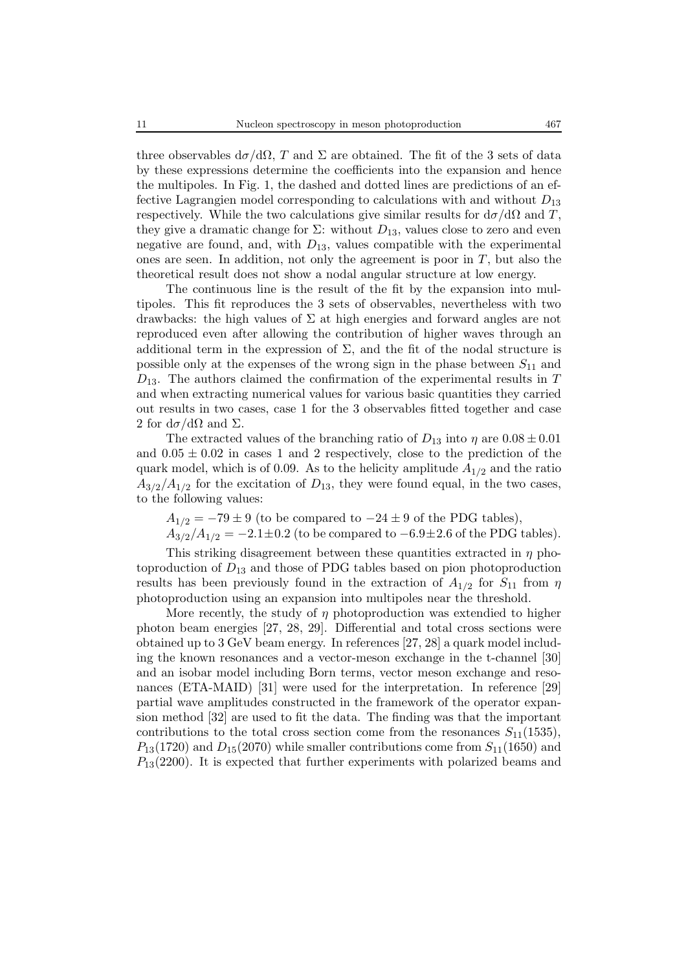three observables  $d\sigma/d\Omega$ , T and  $\Sigma$  are obtained. The fit of the 3 sets of data by these expressions determine the coefficients into the expansion and hence the multipoles. In Fig. 1, the dashed and dotted lines are predictions of an effective Lagrangien model corresponding to calculations with and without  $D_{13}$ respectively. While the two calculations give similar results for  $d\sigma/d\Omega$  and T, they give a dramatic change for  $\Sigma$ : without  $D_{13}$ , values close to zero and even negative are found, and, with  $D_{13}$ , values compatible with the experimental ones are seen. In addition, not only the agreement is poor in  $T$ , but also the theoretical result does not show a nodal angular structure at low energy.

The continuous line is the result of the fit by the expansion into multipoles. This fit reproduces the 3 sets of observables, nevertheless with two drawbacks: the high values of  $\Sigma$  at high energies and forward angles are not reproduced even after allowing the contribution of higher waves through an additional term in the expression of  $\Sigma$ , and the fit of the nodal structure is possible only at the expenses of the wrong sign in the phase between  $S_{11}$  and  $D_{13}$ . The authors claimed the confirmation of the experimental results in T and when extracting numerical values for various basic quantities they carried out results in two cases, case 1 for the 3 observables fitted together and case 2 for  $d\sigma/d\Omega$  and  $\Sigma$ .

The extracted values of the branching ratio of  $D_{13}$  into  $\eta$  are  $0.08 \pm 0.01$ and  $0.05 \pm 0.02$  in cases 1 and 2 respectively, close to the prediction of the quark model, which is of 0.09. As to the helicity amplitude  $A_{1/2}$  and the ratio  $A_{3/2}/A_{1/2}$  for the excitation of  $D_{13}$ , they were found equal, in the two cases, to the following values:

 $A_{1/2} = -79 \pm 9$  (to be compared to  $-24 \pm 9$  of the PDG tables),  $A_{3/2}/A_{1/2} = -2.1 \pm 0.2$  (to be compared to  $-6.9 \pm 2.6$  of the PDG tables).

This striking disagreement between these quantities extracted in  $\eta$  photoproduction of  $D_{13}$  and those of PDG tables based on pion photoproduction results has been previously found in the extraction of  $A_{1/2}$  for  $S_{11}$  from  $\eta$ photoproduction using an expansion into multipoles near the threshold.

More recently, the study of  $\eta$  photoproduction was extendied to higher photon beam energies [27, 28, 29]. Differential and total cross sections were obtained up to 3 GeV beam energy. In references [27, 28] a quark model including the known resonances and a vector-meson exchange in the t-channel [30] and an isobar model including Born terms, vector meson exchange and resonances (ETA-MAID) [31] were used for the interpretation. In reference [29] partial wave amplitudes constructed in the framework of the operator expansion method [32] are used to fit the data. The finding was that the important contributions to the total cross section come from the resonances  $S_{11}(1535)$ ,  $P_{13}(1720)$  and  $D_{15}(2070)$  while smaller contributions come from  $S_{11}(1650)$  and  $P_{13}(2200)$ . It is expected that further experiments with polarized beams and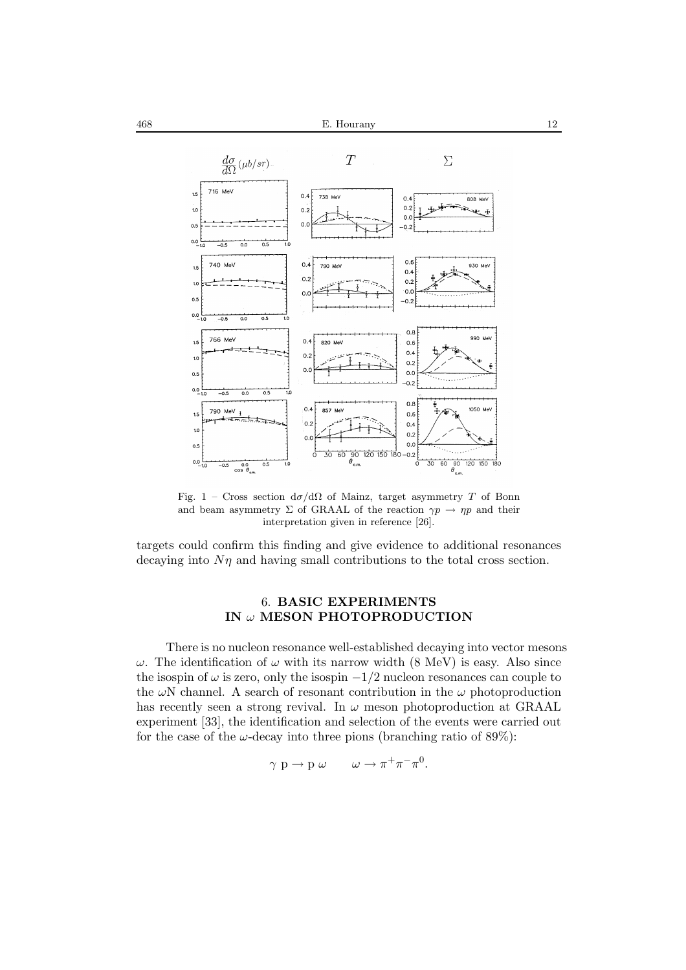

Fig. 1 – Cross section  $d\sigma/d\Omega$  of Mainz, target asymmetry T of Bonn and beam asymmetry  $\Sigma$  of GRAAL of the reaction  $\gamma p \to \eta p$  and their interpretation given in reference [26].

targets could confirm this finding and give evidence to additional resonances decaying into  $N\eta$  and having small contributions to the total cross section.

# 6. **BASIC EXPERIMENTS IN** ω **MESON PHOTOPRODUCTION**

There is no nucleon resonance well-established decaying into vector mesons  $ω$ . The identification of  $ω$  with its narrow width (8 MeV) is easy. Also since the isospin of  $\omega$  is zero, only the isospin  $-1/2$  nucleon resonances can couple to the  $\omega N$  channel. A search of resonant contribution in the  $\omega$  photoproduction has recently seen a strong revival. In  $\omega$  meson photoproduction at GRAAL experiment [33], the identification and selection of the events were carried out for the case of the  $\omega$ -decay into three pions (branching ratio of 89%):

$$
\gamma \, \, \mathrm{p} \to \mathrm{p} \, \, \omega \qquad \omega \to \pi^+ \pi^- \pi^0.
$$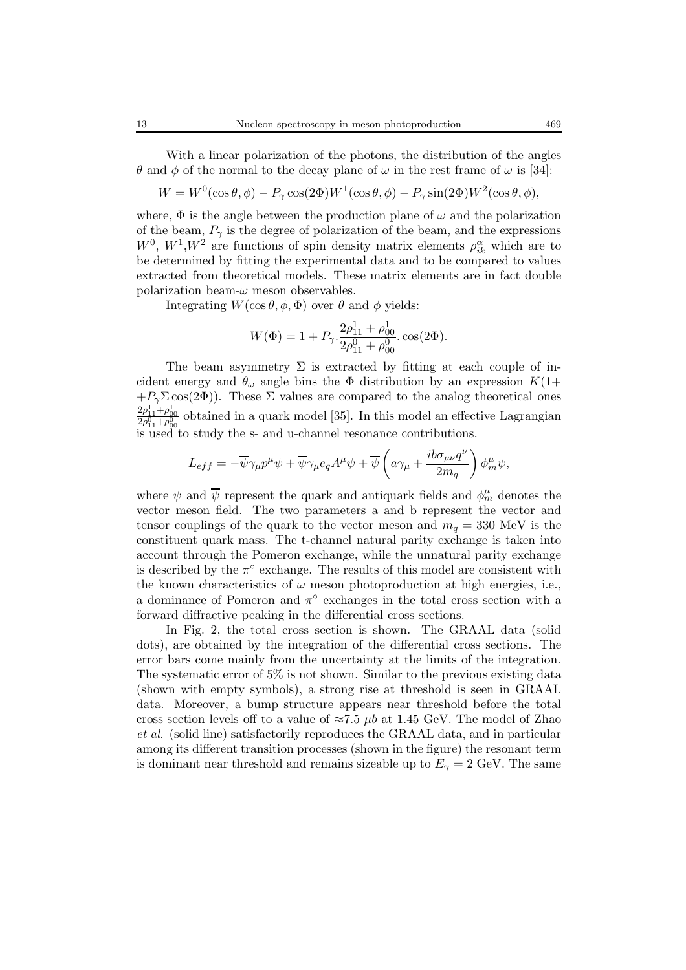With a linear polarization of the photons, the distribution of the angles θ and φ of the normal to the decay plane of  $ω$  in the rest frame of  $ω$  is [34]:

$$
W = W^{0}(\cos \theta, \phi) - P_{\gamma} \cos(2\Phi)W^{1}(\cos \theta, \phi) - P_{\gamma} \sin(2\Phi)W^{2}(\cos \theta, \phi),
$$

where,  $\Phi$  is the angle between the production plane of  $\omega$  and the polarization of the beam,  $P_{\gamma}$  is the degree of polarization of the beam, and the expressions  $W^0$ ,  $W^1$ ,  $W^2$  are functions of spin density matrix elements  $\rho_{ik}^{\alpha}$  which are to be determined by fitting the experimental data and to be compared to values extracted from theoretical models. These matrix elements are in fact double polarization beam- $\omega$  meson observables.

Integrating  $W(\cos \theta, \phi, \Phi)$  over  $\theta$  and  $\phi$  yields:

$$
W(\Phi) = 1 + P_{\gamma} \cdot \frac{2\rho_{11}^1 + \rho_{00}^1}{2\rho_{11}^0 + \rho_{00}^0} \cdot \cos(2\Phi).
$$

The beam asymmetry  $\Sigma$  is extracted by fitting at each couple of incident energy and  $\theta_{\omega}$  angle bins the  $\Phi$  distribution by an expression  $K(1+$  $+P_{\gamma}\Sigma\cos(2\Phi)$ . These  $\Sigma$  values are compared to the analog theoretical ones  $\frac{2\rho_{11}^1+\rho_{00}^1}{2\rho_{11}^0+\rho_{00}^0}$  obtained in a quark model [35]. In this model an effective Lagrangian is used to study the s- and u-channel resonance contributions.

$$
L_{eff} = -\overline{\psi}\gamma_{\mu}p^{\mu}\psi + \overline{\psi}\gamma_{\mu}e_{q}A^{\mu}\psi + \overline{\psi}\left(a\gamma_{\mu} + \frac{ib\sigma_{\mu\nu}q^{\nu}}{2m_{q}}\right)\phi_{m}^{\mu}\psi,
$$

where  $\psi$  and  $\overline{\psi}$  represent the quark and antiquark fields and  $\phi_m^{\mu}$  denotes the vector meson field. The two parameters a and b represent the vector and tensor couplings of the quark to the vector meson and  $m_q = 330$  MeV is the constituent quark mass. The t-channel natural parity exchange is taken into account through the Pomeron exchange, while the unnatural parity exchange is described by the  $\pi^{\circ}$  exchange. The results of this model are consistent with the known characteristics of  $\omega$  meson photoproduction at high energies, i.e., a dominance of Pomeron and  $\pi^{\circ}$  exchanges in the total cross section with a forward diffractive peaking in the differential cross sections.

In Fig. 2, the total cross section is shown. The GRAAL data (solid dots), are obtained by the integration of the differential cross sections. The error bars come mainly from the uncertainty at the limits of the integration. The systematic error of 5% is not shown. Similar to the previous existing data (shown with empty symbols), a strong rise at threshold is seen in GRAAL data. Moreover, a bump structure appears near threshold before the total cross section levels off to a value of  $\approx 7.5 \mu b$  at 1.45 GeV. The model of Zhao *et al.* (solid line) satisfactorily reproduces the GRAAL data, and in particular among its different transition processes (shown in the figure) the resonant term is dominant near threshold and remains sizeable up to  $E_{\gamma} = 2 \text{ GeV}$ . The same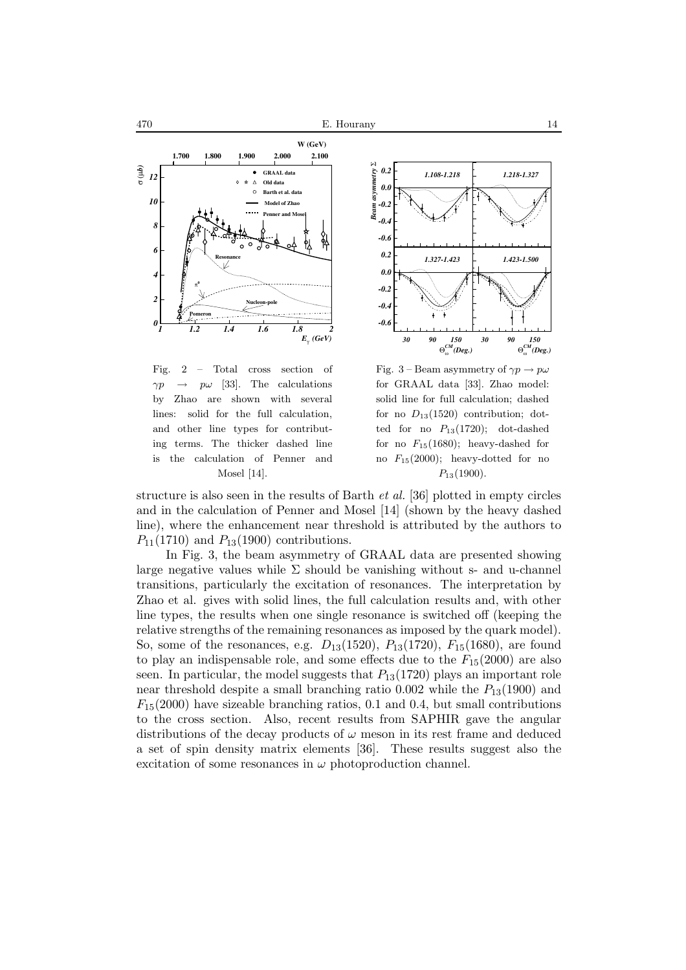



Fig. 2 – Total cross section of  $\gamma p \rightarrow p\omega$  [33]. The calculations by Zhao are shown with several lines: solid for the full calculation, and other line types for contributing terms. The thicker dashed line is the calculation of Penner and Mosel [14].

Fig. 3 – Beam asymmetry of  $\gamma p \to p\omega$ for GRAAL data [33]. Zhao model: solid line for full calculation; dashed for no  $D_{13}(1520)$  contribution; dotted for no  $P_{13}(1720)$ ; dot-dashed for no  $F_{15}(1680)$ ; heavy-dashed for no  $F_{15}(2000)$ ; heavy-dotted for no  $P_{13}(1900)$ .

structure is also seen in the results of Barth *et al.* [36] plotted in empty circles and in the calculation of Penner and Mosel [14] (shown by the heavy dashed line), where the enhancement near threshold is attributed by the authors to  $P_{11}(1710)$  and  $P_{13}(1900)$  contributions.

In Fig. 3, the beam asymmetry of GRAAL data are presented showing large negative values while  $\Sigma$  should be vanishing without s- and u-channel transitions, particularly the excitation of resonances. The interpretation by Zhao et al. gives with solid lines, the full calculation results and, with other line types, the results when one single resonance is switched off (keeping the relative strengths of the remaining resonances as imposed by the quark model). So, some of the resonances, e.g.  $D_{13}(1520)$ ,  $P_{13}(1720)$ ,  $F_{15}(1680)$ , are found to play an indispensable role, and some effects due to the  $F_{15}(2000)$  are also seen. In particular, the model suggests that  $P_{13}(1720)$  plays an important role near threshold despite a small branching ratio  $0.002$  while the  $P_{13}(1900)$  and  $F_{15}(2000)$  have sizeable branching ratios, 0.1 and 0.4, but small contributions to the cross section. Also, recent results from SAPHIR gave the angular distributions of the decay products of  $\omega$  meson in its rest frame and deduced a set of spin density matrix elements [36]. These results suggest also the excitation of some resonances in  $\omega$  photoproduction channel.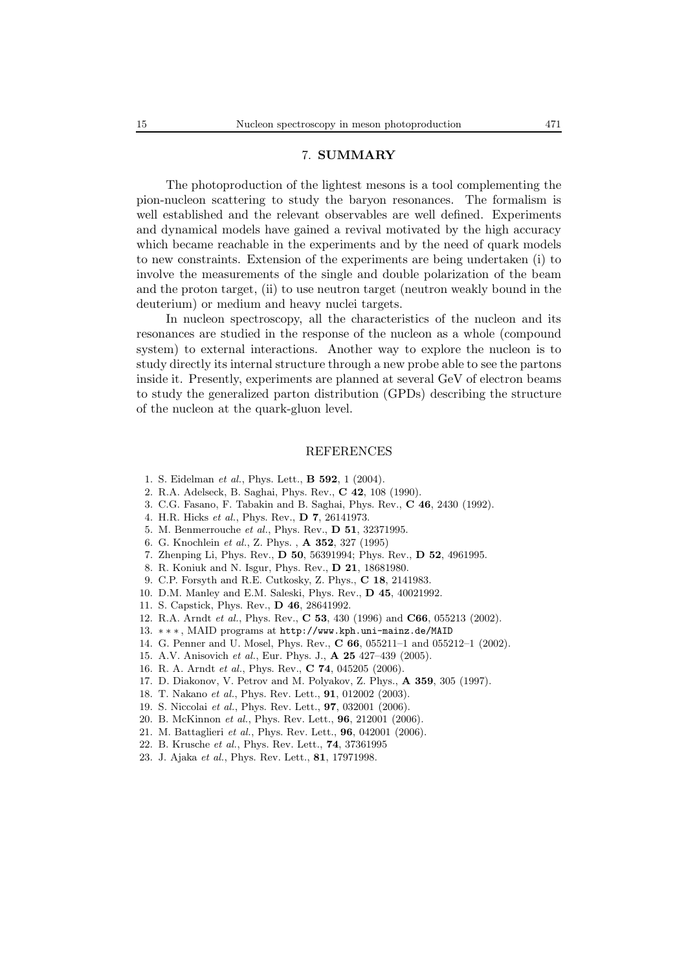#### 7. **SUMMARY**

The photoproduction of the lightest mesons is a tool complementing the pion-nucleon scattering to study the baryon resonances. The formalism is well established and the relevant observables are well defined. Experiments and dynamical models have gained a revival motivated by the high accuracy which became reachable in the experiments and by the need of quark models to new constraints. Extension of the experiments are being undertaken (i) to involve the measurements of the single and double polarization of the beam and the proton target, (ii) to use neutron target (neutron weakly bound in the deuterium) or medium and heavy nuclei targets.

In nucleon spectroscopy, all the characteristics of the nucleon and its resonances are studied in the response of the nucleon as a whole (compound system) to external interactions. Another way to explore the nucleon is to study directly its internal structure through a new probe able to see the partons inside it. Presently, experiments are planned at several GeV of electron beams to study the generalized parton distribution (GPDs) describing the structure of the nucleon at the quark-gluon level.

#### REFERENCES

- 1. S. Eidelman *et al.*, Phys. Lett., **B 592**, 1 (2004).
- 2. R.A. Adelseck, B. Saghai, Phys. Rev., **C 42**, 108 (1990).
- 3. C.G. Fasano, F. Tabakin and B. Saghai, Phys. Rev., **C 46**, 2430 (1992).
- 4. H.R. Hicks *et al.*, Phys. Rev., **D 7**, 26141973.
- 5. M. Benmerrouche *et al.*, Phys. Rev., **D 51**, 32371995.
- 6. G. Knochlein *et al.*, Z. Phys. , **A 352**, 327 (1995)
- 7. Zhenping Li, Phys. Rev., **D 50**, 56391994; Phys. Rev., **D 52**, 4961995.
- 8. R. Koniuk and N. Isgur, Phys. Rev., **D 21**, 18681980.
- 9. C.P. Forsyth and R.E. Cutkosky, Z. Phys., **C 18**, 2141983.
- 10. D.M. Manley and E.M. Saleski, Phys. Rev., **D 45**, 40021992.
- 11. S. Capstick, Phys. Rev., **D 46**, 28641992.
- 12. R.A. Arndt *et al.*, Phys. Rev., **C 53**, 430 (1996) and **C66**, 055213 (2002).
- 13. ∗∗∗ , MAID programs at http://www.kph.uni-mainz.de/MAID
- 14. G. Penner and U. Mosel, Phys. Rev., **C 66**, 055211–1 and 055212–1 (2002).
- 15. A.V. Anisovich *et al.*, Eur. Phys. J., **A 25** 427–439 (2005).
- 16. R. A. Arndt *et al.*, Phys. Rev., **C 74**, 045205 (2006).
- 17. D. Diakonov, V. Petrov and M. Polyakov, Z. Phys., **A 359**, 305 (1997).
- 18. T. Nakano *et al.*, Phys. Rev. Lett., **91**, 012002 (2003).
- 19. S. Niccolai *et al.*, Phys. Rev. Lett., **97**, 032001 (2006).
- 20. B. McKinnon *et al.*, Phys. Rev. Lett., **96**, 212001 (2006).
- 21. M. Battaglieri *et al.*, Phys. Rev. Lett., **96**, 042001 (2006).
- 22. B. Krusche *et al.*, Phys. Rev. Lett., **74**, 37361995 23. J. Ajaka *et al.*, Phys. Rev. Lett., **81**, 17971998.